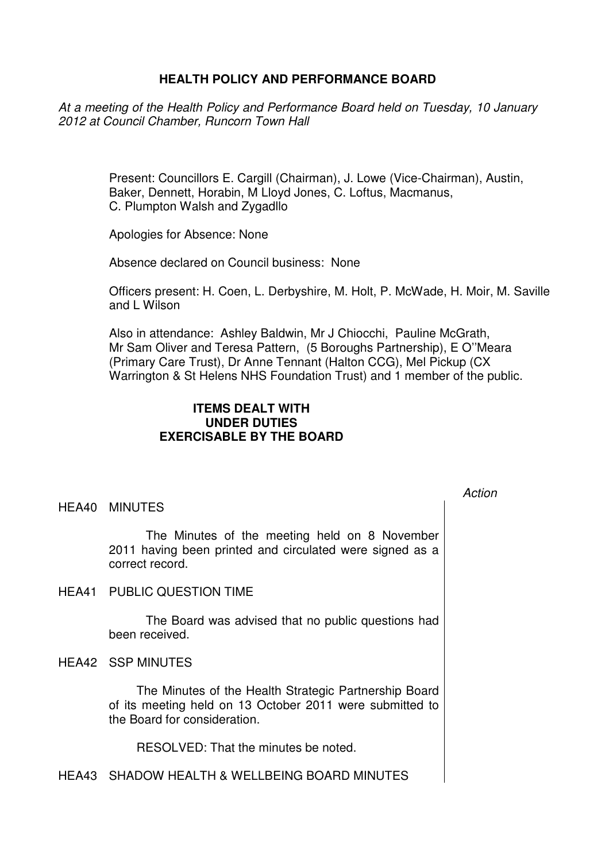# **HEALTH POLICY AND PERFORMANCE BOARD**

At a meeting of the Health Policy and Performance Board held on Tuesday, 10 January 2012 at Council Chamber, Runcorn Town Hall

> Present: Councillors E. Cargill (Chairman), J. Lowe (Vice-Chairman), Austin, Baker, Dennett, Horabin, M Lloyd Jones, C. Loftus, Macmanus, C. Plumpton Walsh and Zygadllo

Apologies for Absence: None

Absence declared on Council business: None

Officers present: H. Coen, L. Derbyshire, M. Holt, P. McWade, H. Moir, M. Saville and L Wilson

Action

Also in attendance: Ashley Baldwin, Mr J Chiocchi, Pauline McGrath, Mr Sam Oliver and Teresa Pattern, (5 Boroughs Partnership), E O''Meara (Primary Care Trust), Dr Anne Tennant (Halton CCG), Mel Pickup (CX Warrington & St Helens NHS Foundation Trust) and 1 member of the public.

# **ITEMS DEALT WITH UNDER DUTIES EXERCISABLE BY THE BOARD**

### HEA40 MINUTES

 The Minutes of the meeting held on 8 November 2011 having been printed and circulated were signed as a correct record.

HEA41 PUBLIC QUESTION TIME

 The Board was advised that no public questions had been received.

HEA42 SSP MINUTES

 The Minutes of the Health Strategic Partnership Board of its meeting held on 13 October 2011 were submitted to the Board for consideration.

RESOLVED: That the minutes be noted.

HEA43 SHADOW HEALTH & WELLBEING BOARD MINUTES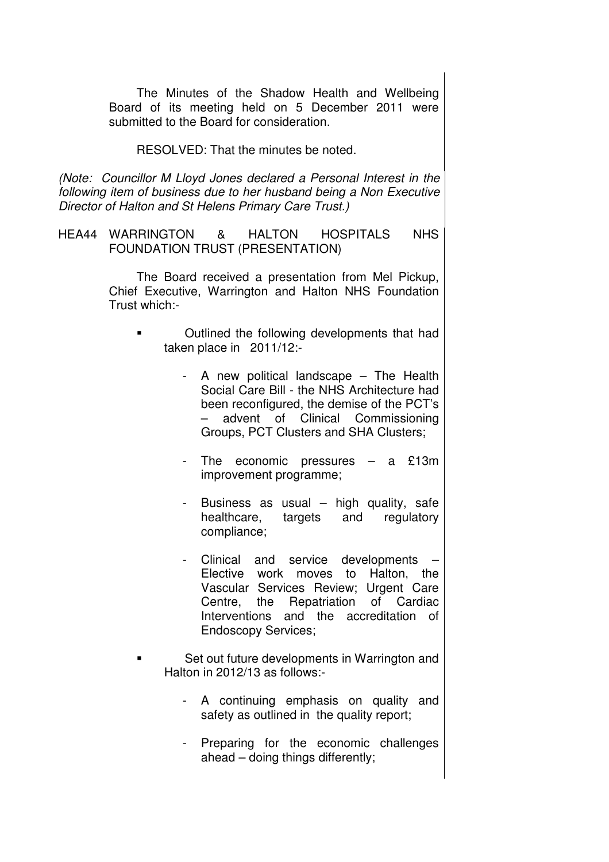The Minutes of the Shadow Health and Wellbeing Board of its meeting held on 5 December 2011 were submitted to the Board for consideration.

RESOLVED: That the minutes be noted.

(Note: Councillor M Lloyd Jones declared a Personal Interest in the following item of business due to her husband being a Non Executive Director of Halton and St Helens Primary Care Trust.)

HEA44 WARRINGTON & HALTON HOSPITALS NHS FOUNDATION TRUST (PRESENTATION)

> The Board received a presentation from Mel Pickup, Chief Executive, Warrington and Halton NHS Foundation Trust which:-

- Outlined the following developments that had taken place in 2011/12:-
	- A new political landscape The Health Social Care Bill - the NHS Architecture had been reconfigured, the demise of the PCT's – advent of Clinical Commissioning Groups, PCT Clusters and SHA Clusters;
	- The economic pressures  $-$  a £13m improvement programme;
	- Business as usual high quality, safe healthcare, targets and regulatory compliance;
	- Clinical and service developments Elective work moves to Halton, the Vascular Services Review; Urgent Care Centre, the Repatriation of Cardiac Interventions and the accreditation of Endoscopy Services;

 Set out future developments in Warrington and Halton in 2012/13 as follows:-

- A continuing emphasis on quality and safety as outlined in the quality report;
- Preparing for the economic challenges ahead – doing things differently;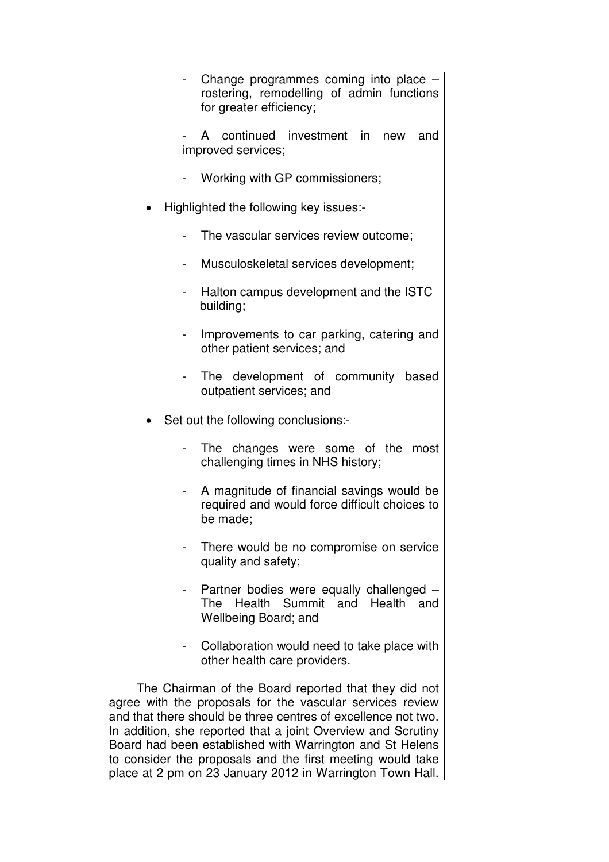- Change programmes coming into place rostering, remodelling of admin functions for greater efficiency;
- A continued investment in new and improved services;
- Working with GP commissioners;
- Highlighted the following key issues:-
	- The vascular services review outcome;
	- Musculoskeletal services development;
	- Halton campus development and the ISTC building;
	- Improvements to car parking, catering and other patient services; and
	- The development of community based outpatient services; and
- Set out the following conclusions:-
	- The changes were some of the most challenging times in NHS history;
	- A magnitude of financial savings would be required and would force difficult choices to be made;
	- There would be no compromise on service quality and safety;
	- Partner bodies were equally challenged The Health Summit and Health and Wellbeing Board; and
	- Collaboration would need to take place with other health care providers.

 The Chairman of the Board reported that they did not agree with the proposals for the vascular services review and that there should be three centres of excellence not two. In addition, she reported that a joint Overview and Scrutiny Board had been established with Warrington and St Helens to consider the proposals and the first meeting would take place at 2 pm on 23 January 2012 in Warrington Town Hall.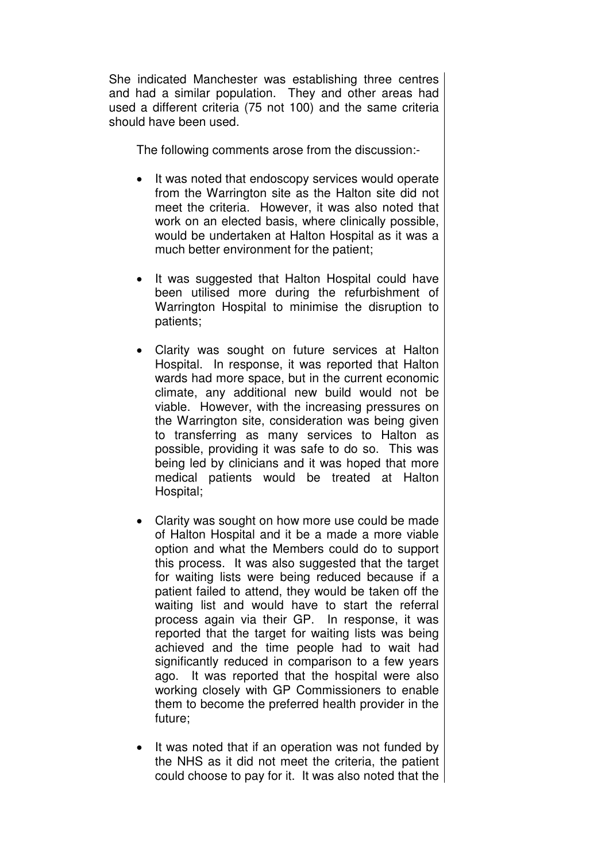She indicated Manchester was establishing three centres and had a similar population. They and other areas had used a different criteria (75 not 100) and the same criteria should have been used.

The following comments arose from the discussion:-

- It was noted that endoscopy services would operate from the Warrington site as the Halton site did not meet the criteria. However, it was also noted that work on an elected basis, where clinically possible, would be undertaken at Halton Hospital as it was a much better environment for the patient;
- It was suggested that Halton Hospital could have been utilised more during the refurbishment of Warrington Hospital to minimise the disruption to patients;
- Clarity was sought on future services at Halton Hospital. In response, it was reported that Halton wards had more space, but in the current economic climate, any additional new build would not be viable. However, with the increasing pressures on the Warrington site, consideration was being given to transferring as many services to Halton as possible, providing it was safe to do so. This was being led by clinicians and it was hoped that more medical patients would be treated at Halton Hospital;
- Clarity was sought on how more use could be made of Halton Hospital and it be a made a more viable option and what the Members could do to support this process. It was also suggested that the target for waiting lists were being reduced because if a patient failed to attend, they would be taken off the waiting list and would have to start the referral process again via their GP. In response, it was reported that the target for waiting lists was being achieved and the time people had to wait had significantly reduced in comparison to a few years ago. It was reported that the hospital were also working closely with GP Commissioners to enable them to become the preferred health provider in the future;
- It was noted that if an operation was not funded by the NHS as it did not meet the criteria, the patient could choose to pay for it. It was also noted that the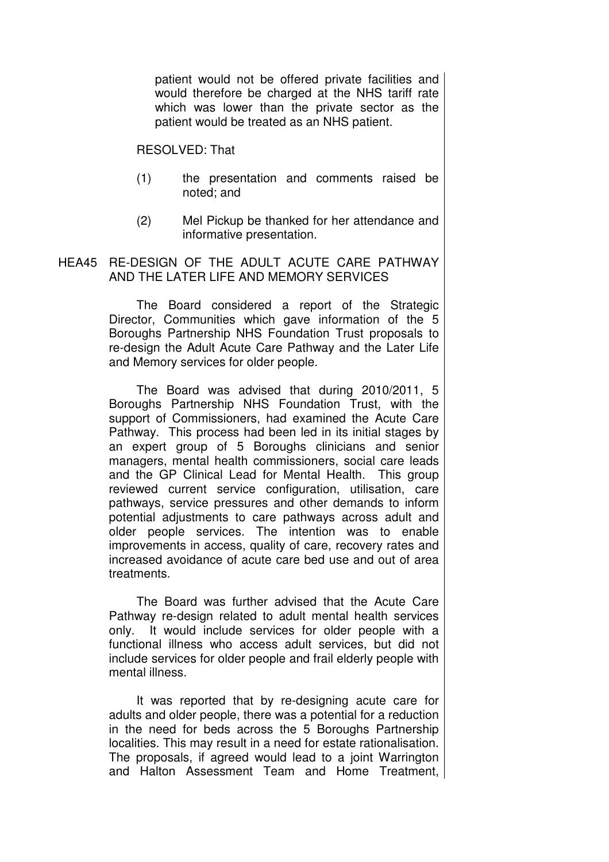patient would not be offered private facilities and would therefore be charged at the NHS tariff rate which was lower than the private sector as the patient would be treated as an NHS patient.

RESOLVED: That

- (1) the presentation and comments raised be noted; and
- (2) Mel Pickup be thanked for her attendance and informative presentation.

# HEA45 RE-DESIGN OF THE ADULT ACUTE CARE PATHWAY AND THE LATER LIFE AND MEMORY SERVICES

 The Board considered a report of the Strategic Director, Communities which gave information of the 5 Boroughs Partnership NHS Foundation Trust proposals to re-design the Adult Acute Care Pathway and the Later Life and Memory services for older people.

The Board was advised that during 2010/2011, 5 Boroughs Partnership NHS Foundation Trust, with the support of Commissioners, had examined the Acute Care Pathway. This process had been led in its initial stages by an expert group of 5 Boroughs clinicians and senior managers, mental health commissioners, social care leads and the GP Clinical Lead for Mental Health. This group reviewed current service configuration, utilisation, care pathways, service pressures and other demands to inform potential adjustments to care pathways across adult and older people services. The intention was to enable improvements in access, quality of care, recovery rates and increased avoidance of acute care bed use and out of area treatments.

The Board was further advised that the Acute Care Pathway re-design related to adult mental health services only. It would include services for older people with a functional illness who access adult services, but did not include services for older people and frail elderly people with mental illness.

It was reported that by re-designing acute care for adults and older people, there was a potential for a reduction in the need for beds across the 5 Boroughs Partnership localities. This may result in a need for estate rationalisation. The proposals, if agreed would lead to a joint Warrington and Halton Assessment Team and Home Treatment,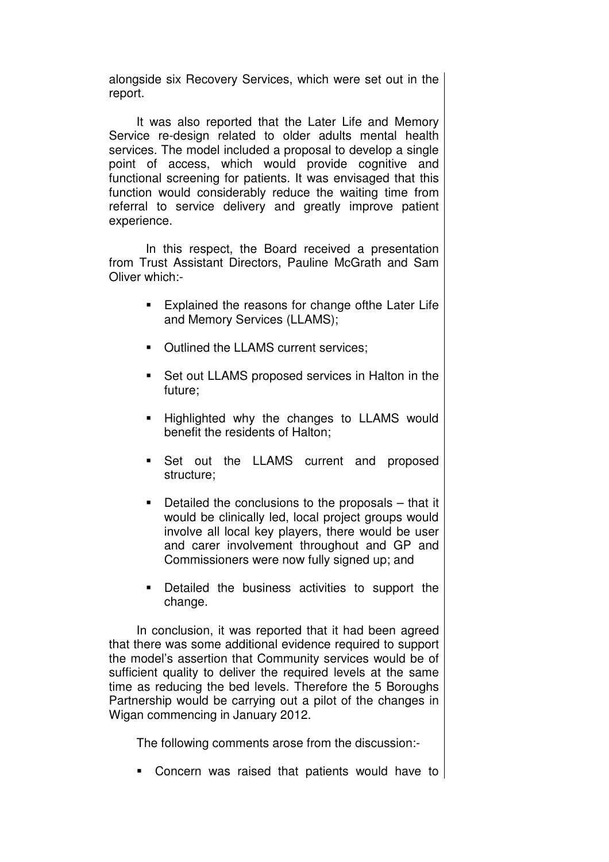alongside six Recovery Services, which were set out in the report.

It was also reported that the Later Life and Memory Service re-design related to older adults mental health services. The model included a proposal to develop a single point of access, which would provide cognitive and functional screening for patients. It was envisaged that this function would considerably reduce the waiting time from referral to service delivery and greatly improve patient experience.

 In this respect, the Board received a presentation from Trust Assistant Directors, Pauline McGrath and Sam Oliver which:-

- **Explained the reasons for change ofthe Later Life** and Memory Services (LLAMS);
- Outlined the LLAMS current services;
- Set out LLAMS proposed services in Halton in the future;
- **Highlighted why the changes to LLAMS would** benefit the residents of Halton;
- **Set out the LLAMS current and proposed** structure;
- Detailed the conclusions to the proposals that it would be clinically led, local project groups would involve all local key players, there would be user and carer involvement throughout and GP and Commissioners were now fully signed up; and
- **Detailed the business activities to support the** change.

In conclusion, it was reported that it had been agreed that there was some additional evidence required to support the model's assertion that Community services would be of sufficient quality to deliver the required levels at the same time as reducing the bed levels. Therefore the 5 Boroughs Partnership would be carrying out a pilot of the changes in Wigan commencing in January 2012.

The following comments arose from the discussion:-

Concern was raised that patients would have to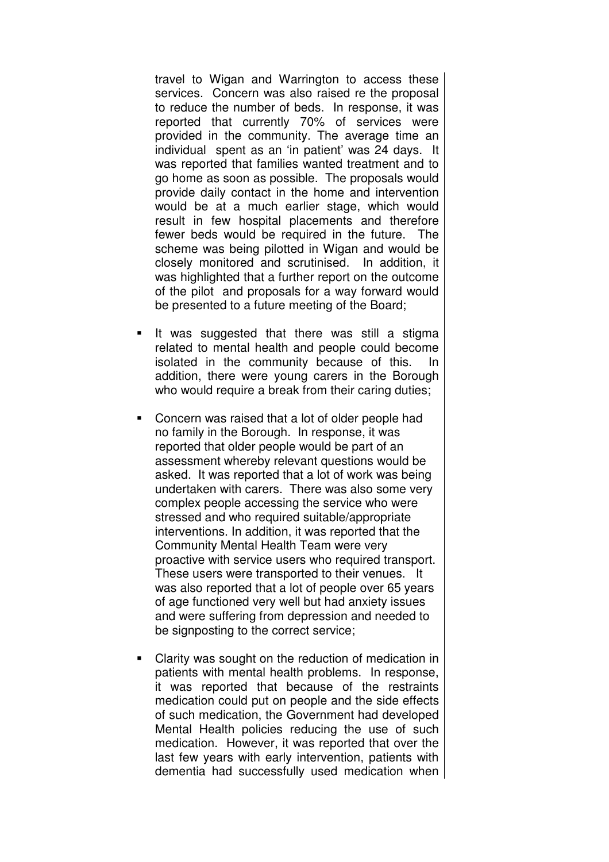travel to Wigan and Warrington to access these services. Concern was also raised re the proposal to reduce the number of beds. In response, it was reported that currently 70% of services were provided in the community. The average time an individual spent as an 'in patient' was 24 days. It was reported that families wanted treatment and to go home as soon as possible. The proposals would provide daily contact in the home and intervention would be at a much earlier stage, which would result in few hospital placements and therefore fewer beds would be required in the future. The scheme was being pilotted in Wigan and would be closely monitored and scrutinised. In addition, it was highlighted that a further report on the outcome of the pilot and proposals for a way forward would be presented to a future meeting of the Board;

- It was suggested that there was still a stigma related to mental health and people could become isolated in the community because of this. In addition, there were young carers in the Borough who would require a break from their caring duties;
- Concern was raised that a lot of older people had no family in the Borough. In response, it was reported that older people would be part of an assessment whereby relevant questions would be asked. It was reported that a lot of work was being undertaken with carers. There was also some very complex people accessing the service who were stressed and who required suitable/appropriate interventions. In addition, it was reported that the Community Mental Health Team were very proactive with service users who required transport. These users were transported to their venues. It was also reported that a lot of people over 65 years of age functioned very well but had anxiety issues and were suffering from depression and needed to be signposting to the correct service;
- Clarity was sought on the reduction of medication in patients with mental health problems. In response, it was reported that because of the restraints medication could put on people and the side effects of such medication, the Government had developed Mental Health policies reducing the use of such medication. However, it was reported that over the last few years with early intervention, patients with dementia had successfully used medication when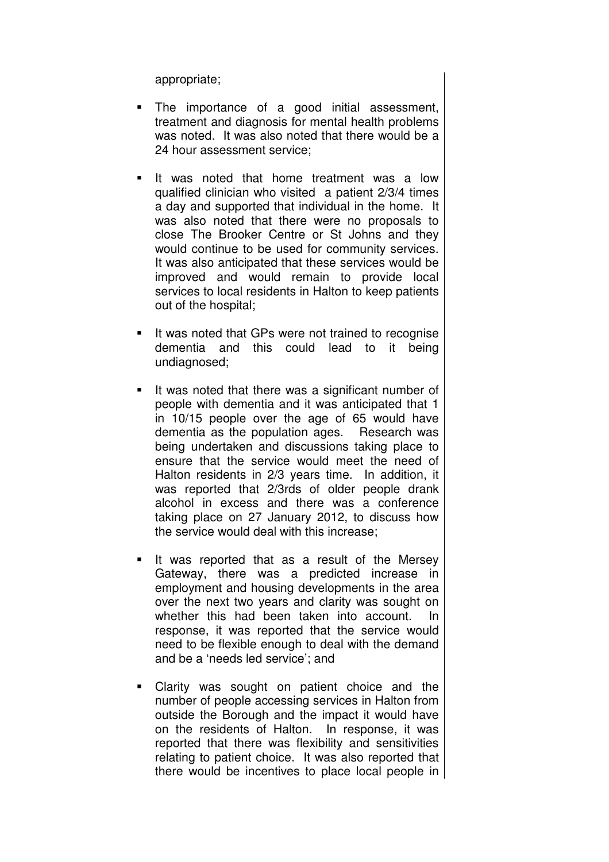appropriate;

- The importance of a good initial assessment, treatment and diagnosis for mental health problems was noted. It was also noted that there would be a 24 hour assessment service;
- It was noted that home treatment was a low qualified clinician who visited a patient 2/3/4 times a day and supported that individual in the home. It was also noted that there were no proposals to close The Brooker Centre or St Johns and they would continue to be used for community services. It was also anticipated that these services would be improved and would remain to provide local services to local residents in Halton to keep patients out of the hospital;
- It was noted that GPs were not trained to recognise dementia and this could lead to it being undiagnosed;
- It was noted that there was a significant number of people with dementia and it was anticipated that 1 in 10/15 people over the age of 65 would have dementia as the population ages. Research was being undertaken and discussions taking place to ensure that the service would meet the need of Halton residents in 2/3 years time. In addition, it was reported that 2/3rds of older people drank alcohol in excess and there was a conference taking place on 27 January 2012, to discuss how the service would deal with this increase;
- $\blacksquare$  It was reported that as a result of the Mersey Gateway, there was a predicted increase in employment and housing developments in the area over the next two years and clarity was sought on whether this had been taken into account. In response, it was reported that the service would need to be flexible enough to deal with the demand and be a 'needs led service'; and
- Clarity was sought on patient choice and the number of people accessing services in Halton from outside the Borough and the impact it would have on the residents of Halton. In response, it was reported that there was flexibility and sensitivities relating to patient choice. It was also reported that there would be incentives to place local people in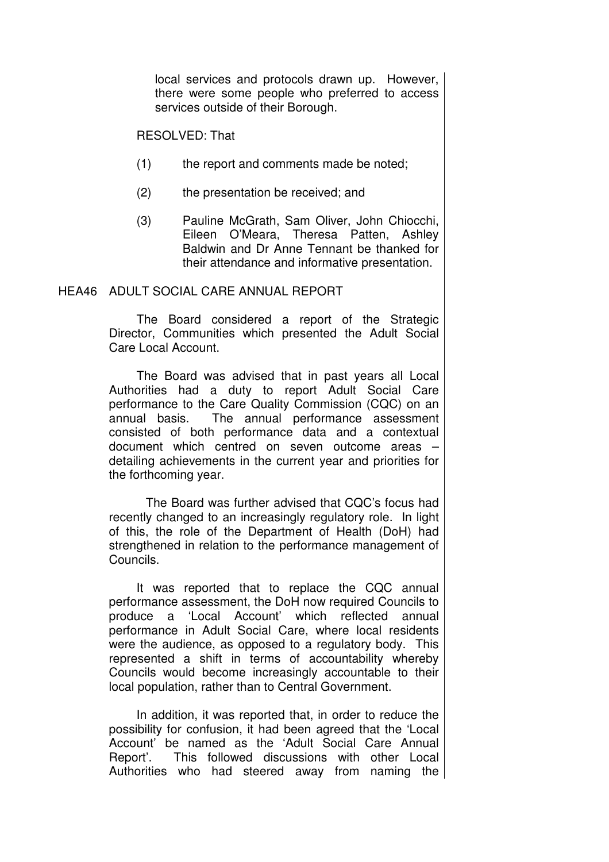local services and protocols drawn up. However, there were some people who preferred to access services outside of their Borough.

RESOLVED: That

- (1) the report and comments made be noted;
- (2) the presentation be received; and
- (3) Pauline McGrath, Sam Oliver, John Chiocchi, Eileen O'Meara, Theresa Patten, Ashley Baldwin and Dr Anne Tennant be thanked for their attendance and informative presentation.

### HEA46 ADULT SOCIAL CARE ANNUAL REPORT

 The Board considered a report of the Strategic Director, Communities which presented the Adult Social Care Local Account.

The Board was advised that in past years all Local Authorities had a duty to report Adult Social Care performance to the Care Quality Commission (CQC) on an annual basis. The annual performance assessment consisted of both performance data and a contextual document which centred on seven outcome areas – detailing achievements in the current year and priorities for the forthcoming year.

 The Board was further advised that CQC's focus had recently changed to an increasingly regulatory role. In light of this, the role of the Department of Health (DoH) had strengthened in relation to the performance management of Councils.

It was reported that to replace the CQC annual performance assessment, the DoH now required Councils to produce a 'Local Account' which reflected annual performance in Adult Social Care, where local residents were the audience, as opposed to a regulatory body. This represented a shift in terms of accountability whereby Councils would become increasingly accountable to their local population, rather than to Central Government.

In addition, it was reported that, in order to reduce the possibility for confusion, it had been agreed that the 'Local Account' be named as the 'Adult Social Care Annual Report'. This followed discussions with other Local Authorities who had steered away from naming the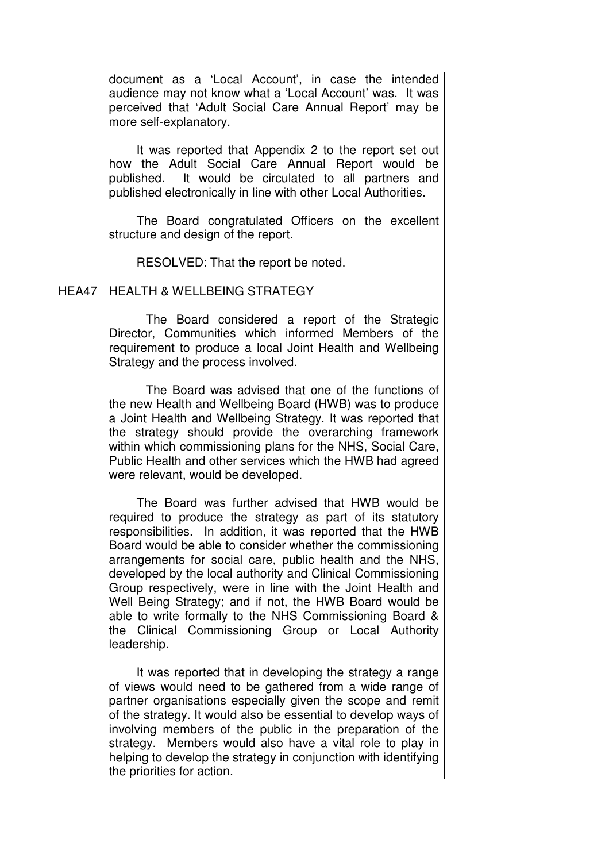document as a 'Local Account', in case the intended audience may not know what a 'Local Account' was. It was perceived that 'Adult Social Care Annual Report' may be more self-explanatory.

It was reported that Appendix 2 to the report set out how the Adult Social Care Annual Report would be published. It would be circulated to all partners and published electronically in line with other Local Authorities.

The Board congratulated Officers on the excellent structure and design of the report.

RESOLVED: That the report be noted.

#### HEA47 HEALTH & WELLBEING STRATEGY

 The Board considered a report of the Strategic Director, Communities which informed Members of the requirement to produce a local Joint Health and Wellbeing Strategy and the process involved.

The Board was advised that one of the functions of the new Health and Wellbeing Board (HWB) was to produce a Joint Health and Wellbeing Strategy. It was reported that the strategy should provide the overarching framework within which commissioning plans for the NHS, Social Care, Public Health and other services which the HWB had agreed were relevant, would be developed.

The Board was further advised that HWB would be required to produce the strategy as part of its statutory responsibilities. In addition, it was reported that the HWB Board would be able to consider whether the commissioning arrangements for social care, public health and the NHS, developed by the local authority and Clinical Commissioning Group respectively, were in line with the Joint Health and Well Being Strategy; and if not, the HWB Board would be able to write formally to the NHS Commissioning Board & the Clinical Commissioning Group or Local Authority leadership.

It was reported that in developing the strategy a range of views would need to be gathered from a wide range of partner organisations especially given the scope and remit of the strategy. It would also be essential to develop ways of involving members of the public in the preparation of the strategy. Members would also have a vital role to play in helping to develop the strategy in conjunction with identifying the priorities for action.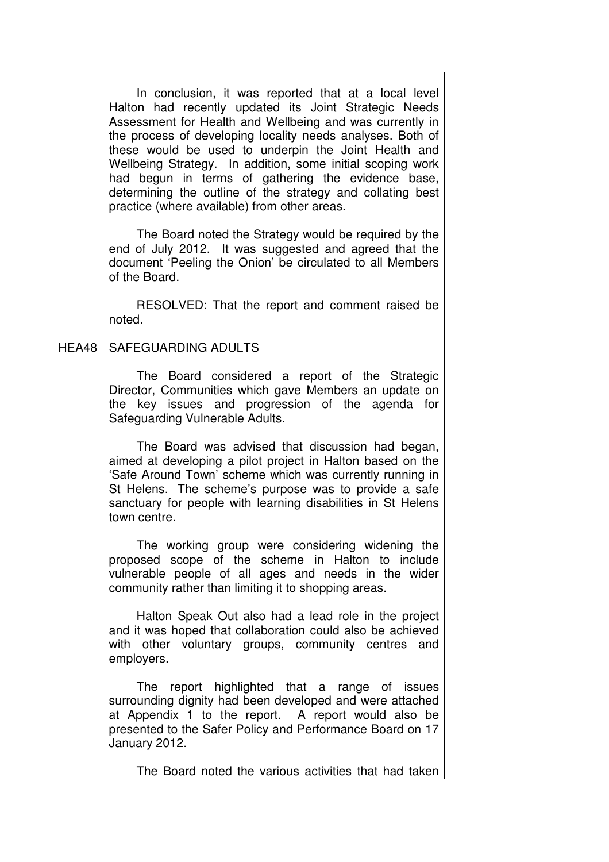In conclusion, it was reported that at a local level Halton had recently updated its Joint Strategic Needs Assessment for Health and Wellbeing and was currently in the process of developing locality needs analyses. Both of these would be used to underpin the Joint Health and Wellbeing Strategy. In addition, some initial scoping work had begun in terms of gathering the evidence base, determining the outline of the strategy and collating best practice (where available) from other areas.

The Board noted the Strategy would be required by the end of July 2012. It was suggested and agreed that the document 'Peeling the Onion' be circulated to all Members of the Board.

RESOLVED: That the report and comment raised be noted.

### HEA48 SAFEGUARDING ADULTS

 The Board considered a report of the Strategic Director, Communities which gave Members an update on the key issues and progression of the agenda for Safeguarding Vulnerable Adults.

The Board was advised that discussion had began, aimed at developing a pilot project in Halton based on the 'Safe Around Town' scheme which was currently running in St Helens. The scheme's purpose was to provide a safe sanctuary for people with learning disabilities in St Helens town centre.

The working group were considering widening the proposed scope of the scheme in Halton to include vulnerable people of all ages and needs in the wider community rather than limiting it to shopping areas.

Halton Speak Out also had a lead role in the project and it was hoped that collaboration could also be achieved with other voluntary groups, community centres and employers.

The report highlighted that a range of issues surrounding dignity had been developed and were attached at Appendix 1 to the report. A report would also be presented to the Safer Policy and Performance Board on 17 January 2012.

The Board noted the various activities that had taken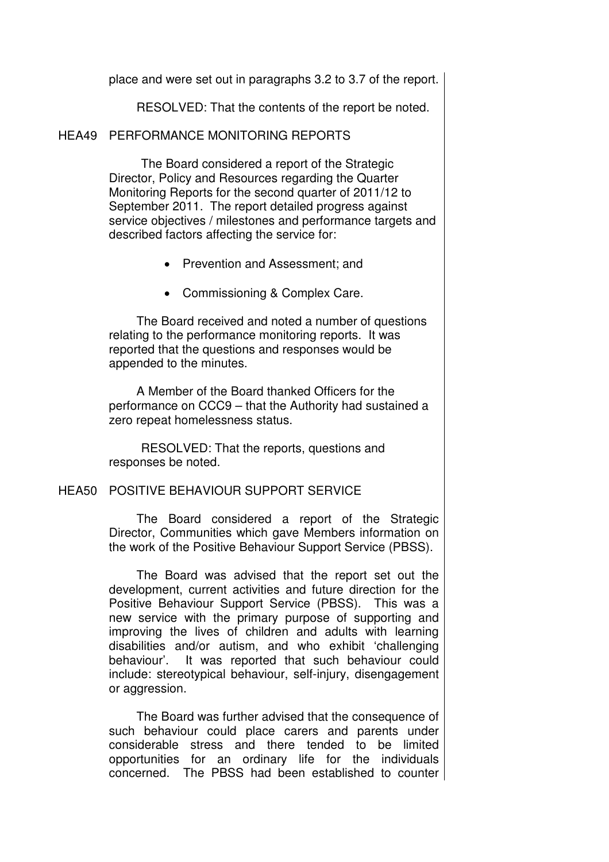place and were set out in paragraphs 3.2 to 3.7 of the report.

RESOLVED: That the contents of the report be noted.

#### HEA49 PERFORMANCE MONITORING REPORTS

 The Board considered a report of the Strategic Director, Policy and Resources regarding the Quarter Monitoring Reports for the second quarter of 2011/12 to September 2011. The report detailed progress against service objectives / milestones and performance targets and described factors affecting the service for:

- Prevention and Assessment; and
- Commissioning & Complex Care.

The Board received and noted a number of questions relating to the performance monitoring reports. It was reported that the questions and responses would be appended to the minutes.

A Member of the Board thanked Officers for the performance on CCC9 – that the Authority had sustained a zero repeat homelessness status.

RESOLVED: That the reports, questions and responses be noted.

# HEA50 POSITIVE BEHAVIOUR SUPPORT SERVICE

 The Board considered a report of the Strategic Director, Communities which gave Members information on the work of the Positive Behaviour Support Service (PBSS).

The Board was advised that the report set out the development, current activities and future direction for the Positive Behaviour Support Service (PBSS). This was a new service with the primary purpose of supporting and improving the lives of children and adults with learning disabilities and/or autism, and who exhibit 'challenging behaviour'. It was reported that such behaviour could include: stereotypical behaviour, self-injury, disengagement or aggression.

The Board was further advised that the consequence of such behaviour could place carers and parents under considerable stress and there tended to be limited opportunities for an ordinary life for the individuals concerned. The PBSS had been established to counter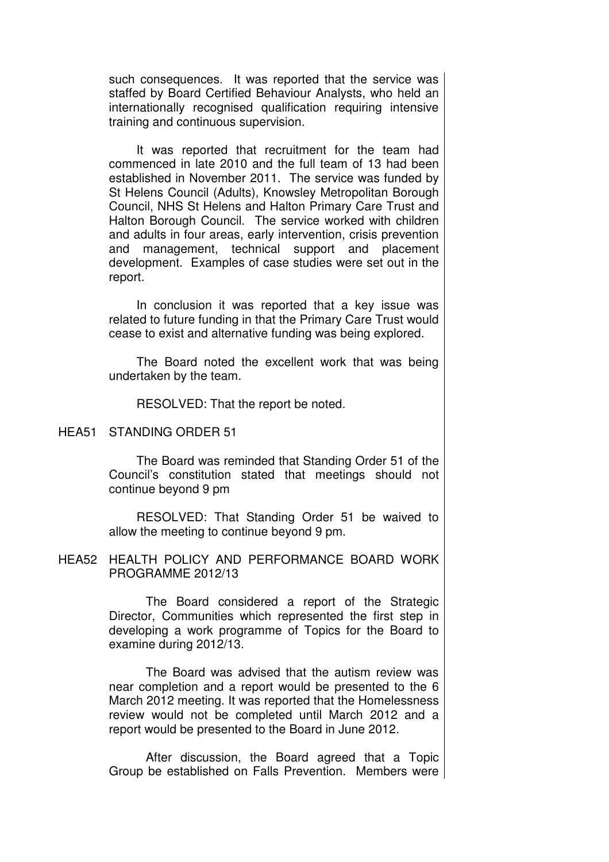such consequences. It was reported that the service was staffed by Board Certified Behaviour Analysts, who held an internationally recognised qualification requiring intensive training and continuous supervision.

It was reported that recruitment for the team had commenced in late 2010 and the full team of 13 had been established in November 2011. The service was funded by St Helens Council (Adults), Knowsley Metropolitan Borough Council, NHS St Helens and Halton Primary Care Trust and Halton Borough Council. The service worked with children and adults in four areas, early intervention, crisis prevention and management, technical support and placement development. Examples of case studies were set out in the report.

In conclusion it was reported that a key issue was related to future funding in that the Primary Care Trust would cease to exist and alternative funding was being explored.

The Board noted the excellent work that was being undertaken by the team.

RESOLVED: That the report be noted.

#### HEA51 STANDING ORDER 51

 The Board was reminded that Standing Order 51 of the Council's constitution stated that meetings should not continue beyond 9 pm

RESOLVED: That Standing Order 51 be waived to allow the meeting to continue beyond 9 pm.

### HEA52 HEALTH POLICY AND PERFORMANCE BOARD WORK PROGRAMME 2012/13

 The Board considered a report of the Strategic Director, Communities which represented the first step in developing a work programme of Topics for the Board to examine during 2012/13.

 The Board was advised that the autism review was near completion and a report would be presented to the 6 March 2012 meeting. It was reported that the Homelessness review would not be completed until March 2012 and a report would be presented to the Board in June 2012.

 After discussion, the Board agreed that a Topic Group be established on Falls Prevention. Members were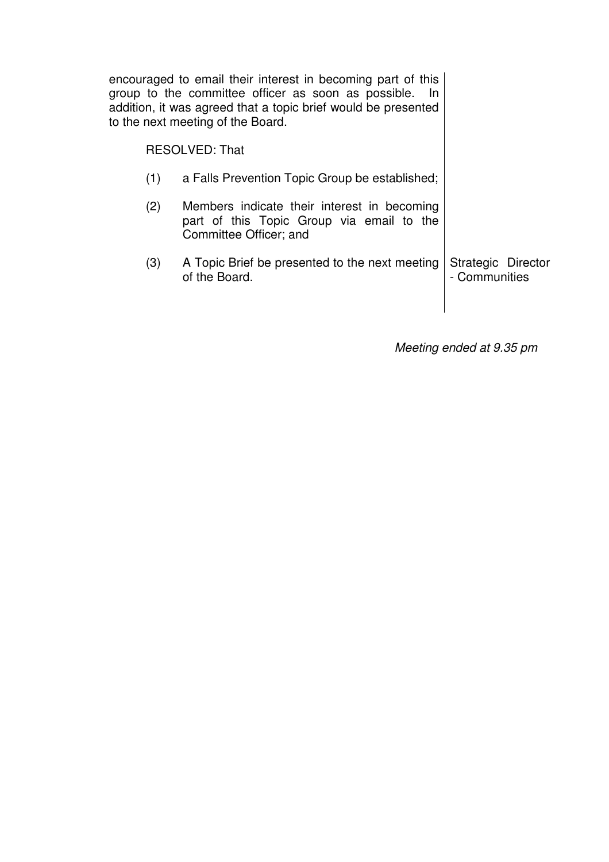|                       | encouraged to email their interest in becoming part of this<br>group to the committee officer as soon as possible. In<br>addition, it was agreed that a topic brief would be presented<br>to the next meeting of the Board. |                                     |
|-----------------------|-----------------------------------------------------------------------------------------------------------------------------------------------------------------------------------------------------------------------------|-------------------------------------|
| <b>RESOLVED: That</b> |                                                                                                                                                                                                                             |                                     |
| (1)                   | a Falls Prevention Topic Group be established;                                                                                                                                                                              |                                     |
| (2)                   | Members indicate their interest in becoming<br>part of this Topic Group via email to the<br>Committee Officer; and                                                                                                          |                                     |
| (3)                   | A Topic Brief be presented to the next meeting<br>of the Board.                                                                                                                                                             | Strategic Director<br>- Communities |
|                       |                                                                                                                                                                                                                             |                                     |

Meeting ended at 9.35 pm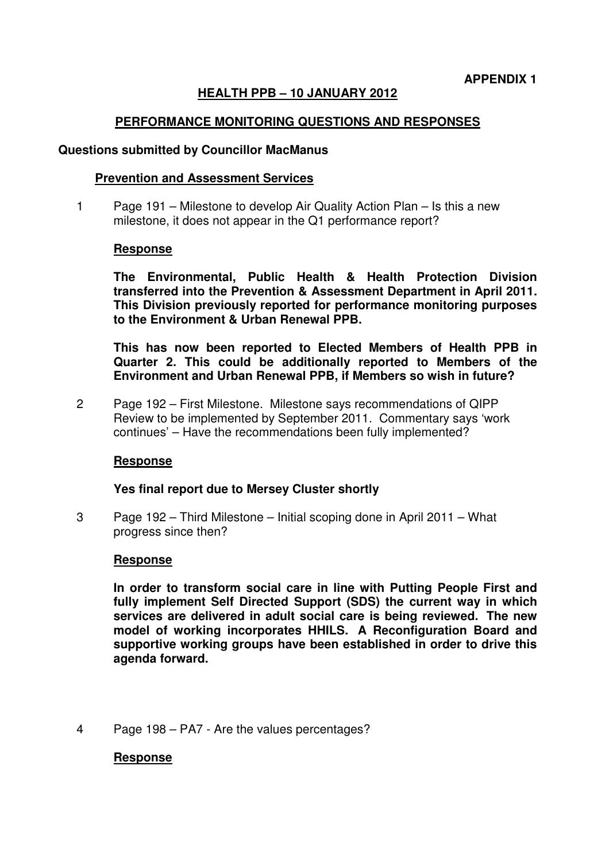# **HEALTH PPB – 10 JANUARY 2012**

# **PERFORMANCE MONITORING QUESTIONS AND RESPONSES**

#### **Questions submitted by Councillor MacManus**

### **Prevention and Assessment Services**

1 Page 191 – Milestone to develop Air Quality Action Plan – Is this a new milestone, it does not appear in the Q1 performance report?

### **Response**

**The Environmental, Public Health & Health Protection Division transferred into the Prevention & Assessment Department in April 2011. This Division previously reported for performance monitoring purposes to the Environment & Urban Renewal PPB.** 

**This has now been reported to Elected Members of Health PPB in Quarter 2. This could be additionally reported to Members of the Environment and Urban Renewal PPB, if Members so wish in future?** 

2 Page 192 – First Milestone. Milestone says recommendations of QIPP Review to be implemented by September 2011. Commentary says 'work continues' – Have the recommendations been fully implemented?

### **Response**

### **Yes final report due to Mersey Cluster shortly**

3 Page 192 – Third Milestone – Initial scoping done in April 2011 – What progress since then?

### **Response**

**In order to transform social care in line with Putting People First and fully implement Self Directed Support (SDS) the current way in which services are delivered in adult social care is being reviewed. The new model of working incorporates HHILS. A Reconfiguration Board and supportive working groups have been established in order to drive this agenda forward.** 

4 Page 198 – PA7 - Are the values percentages?

### **Response**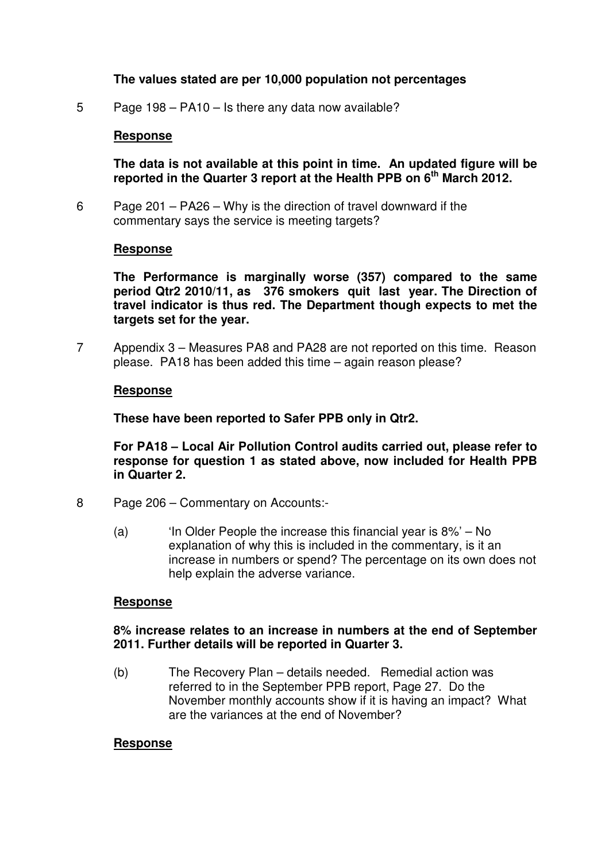# **The values stated are per 10,000 population not percentages**

5 Page 198 – PA10 – Is there any data now available?

# **Response**

**The data is not available at this point in time. An updated figure will be reported in the Quarter 3 report at the Health PPB on 6th March 2012.** 

6 Page 201 – PA26 – Why is the direction of travel downward if the commentary says the service is meeting targets?

### **Response**

**The Performance is marginally worse (357) compared to the same period Qtr2 2010/11, as 376 smokers quit last year. The Direction of travel indicator is thus red. The Department though expects to met the targets set for the year.** 

7 Appendix 3 – Measures PA8 and PA28 are not reported on this time. Reason please. PA18 has been added this time – again reason please?

### **Response**

**These have been reported to Safer PPB only in Qtr2.** 

**For PA18 – Local Air Pollution Control audits carried out, please refer to response for question 1 as stated above, now included for Health PPB in Quarter 2.** 

- 8 Page 206 Commentary on Accounts:-
	- (a) 'In Older People the increase this financial year is 8%' No explanation of why this is included in the commentary, is it an increase in numbers or spend? The percentage on its own does not help explain the adverse variance.

### **Response**

### **8% increase relates to an increase in numbers at the end of September 2011. Further details will be reported in Quarter 3.**

(b) The Recovery Plan – details needed. Remedial action was referred to in the September PPB report, Page 27. Do the November monthly accounts show if it is having an impact? What are the variances at the end of November?

### **Response**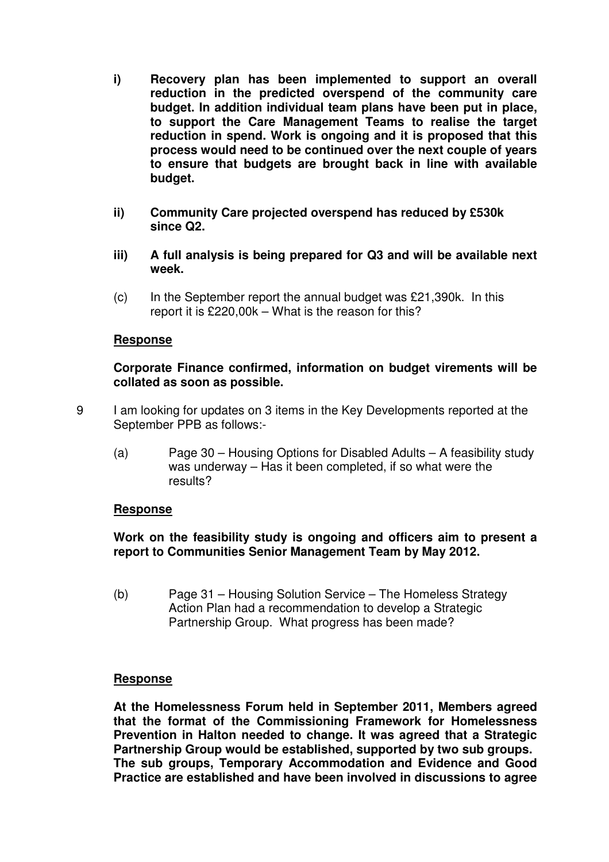- **i) Recovery plan has been implemented to support an overall reduction in the predicted overspend of the community care budget. In addition individual team plans have been put in place, to support the Care Management Teams to realise the target reduction in spend. Work is ongoing and it is proposed that this process would need to be continued over the next couple of years to ensure that budgets are brought back in line with available budget.**
- **ii) Community Care projected overspend has reduced by £530k since Q2.**
- **iii) A full analysis is being prepared for Q3 and will be available next week.**
- $(c)$  In the September report the annual budget was £21,390k. In this report it is £220,00k – What is the reason for this?

# **Response**

**Corporate Finance confirmed, information on budget virements will be collated as soon as possible.** 

- 9 I am looking for updates on 3 items in the Key Developments reported at the September PPB as follows:-
	- (a) Page 30 Housing Options for Disabled Adults A feasibility study was underway – Has it been completed, if so what were the results?

### **Response**

# **Work on the feasibility study is ongoing and officers aim to present a report to Communities Senior Management Team by May 2012.**

(b) Page 31 – Housing Solution Service – The Homeless Strategy Action Plan had a recommendation to develop a Strategic Partnership Group. What progress has been made?

# **Response**

**At the Homelessness Forum held in September 2011, Members agreed that the format of the Commissioning Framework for Homelessness Prevention in Halton needed to change. It was agreed that a Strategic Partnership Group would be established, supported by two sub groups. The sub groups, Temporary Accommodation and Evidence and Good Practice are established and have been involved in discussions to agree**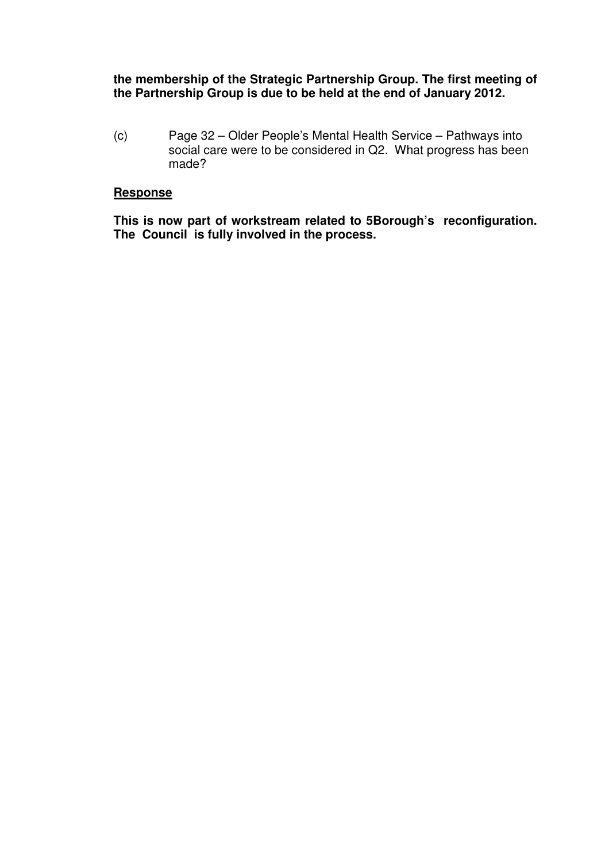# **the membership of the Strategic Partnership Group. The first meeting of the Partnership Group is due to be held at the end of January 2012.**

(c) Page 32 – Older People's Mental Health Service – Pathways into social care were to be considered in Q2. What progress has been made?

# **Response**

**This is now part of workstream related to 5Borough's reconfiguration. The Council is fully involved in the process.**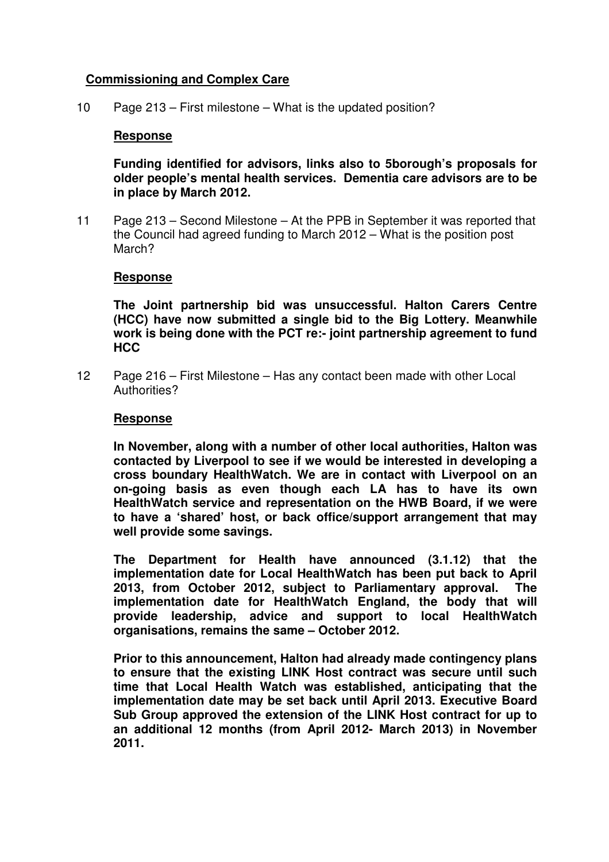# **Commissioning and Complex Care**

10 Page 213 – First milestone – What is the updated position?

# **Response**

**Funding identified for advisors, links also to 5borough's proposals for older people's mental health services. Dementia care advisors are to be in place by March 2012.** 

11 Page 213 – Second Milestone – At the PPB in September it was reported that the Council had agreed funding to March 2012 – What is the position post March?

### **Response**

**The Joint partnership bid was unsuccessful. Halton Carers Centre (HCC) have now submitted a single bid to the Big Lottery. Meanwhile work is being done with the PCT re:- joint partnership agreement to fund HCC** 

12 Page 216 – First Milestone – Has any contact been made with other Local Authorities?

### **Response**

**In November, along with a number of other local authorities, Halton was contacted by Liverpool to see if we would be interested in developing a cross boundary HealthWatch. We are in contact with Liverpool on an on-going basis as even though each LA has to have its own HealthWatch service and representation on the HWB Board, if we were to have a 'shared' host, or back office/support arrangement that may well provide some savings.** 

**The Department for Health have announced (3.1.12) that the implementation date for Local HealthWatch has been put back to April 2013, from October 2012, subject to Parliamentary approval. The implementation date for HealthWatch England, the body that will provide leadership, advice and support to local HealthWatch organisations, remains the same – October 2012.** 

**Prior to this announcement, Halton had already made contingency plans to ensure that the existing LINK Host contract was secure until such time that Local Health Watch was established, anticipating that the implementation date may be set back until April 2013. Executive Board Sub Group approved the extension of the LINK Host contract for up to an additional 12 months (from April 2012- March 2013) in November 2011.**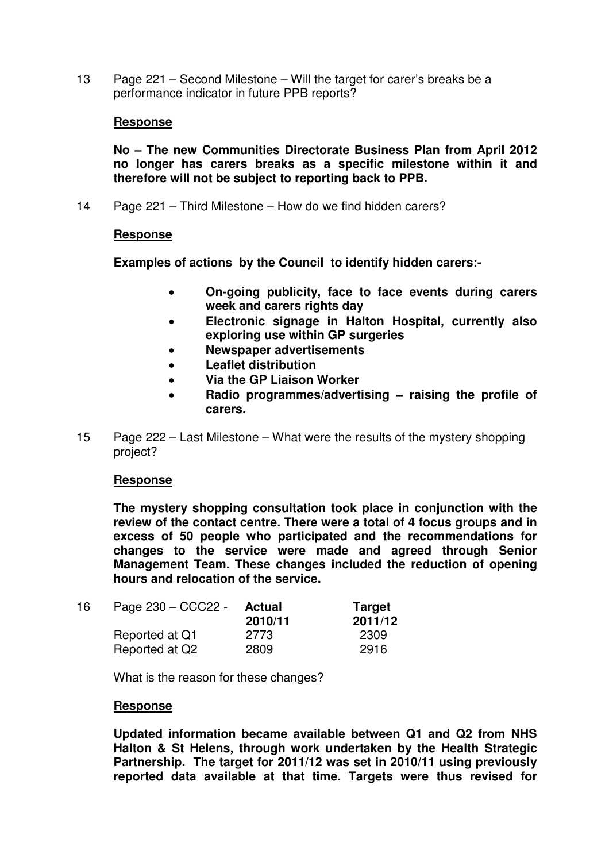13 Page 221 – Second Milestone – Will the target for carer's breaks be a performance indicator in future PPB reports?

# **Response**

**No – The new Communities Directorate Business Plan from April 2012 no longer has carers breaks as a specific milestone within it and therefore will not be subject to reporting back to PPB.** 

14 Page 221 – Third Milestone – How do we find hidden carers?

# **Response**

**Examples of actions by the Council to identify hidden carers:-** 

- **On-going publicity, face to face events during carers week and carers rights day**
- **Electronic signage in Halton Hospital, currently also exploring use within GP surgeries**
- **Newspaper advertisements**
- **Leaflet distribution**
- **Via the GP Liaison Worker**
- **Radio programmes/advertising raising the profile of carers.**
- 15 Page 222 Last Milestone What were the results of the mystery shopping project?

### **Response**

**The mystery shopping consultation took place in conjunction with the review of the contact centre. There were a total of 4 focus groups and in excess of 50 people who participated and the recommendations for changes to the service were made and agreed through Senior Management Team. These changes included the reduction of opening hours and relocation of the service.** 

| 16 | Page 230 - CCC22 - | <b>Actual</b><br>2010/11 | <b>Target</b><br>2011/12 |
|----|--------------------|--------------------------|--------------------------|
|    | Reported at Q1     | 2773                     | 2309                     |
|    | Reported at Q2     | 2809                     | 2916                     |

What is the reason for these changes?

### **Response**

**Updated information became available between Q1 and Q2 from NHS Halton & St Helens, through work undertaken by the Health Strategic Partnership. The target for 2011/12 was set in 2010/11 using previously reported data available at that time. Targets were thus revised for**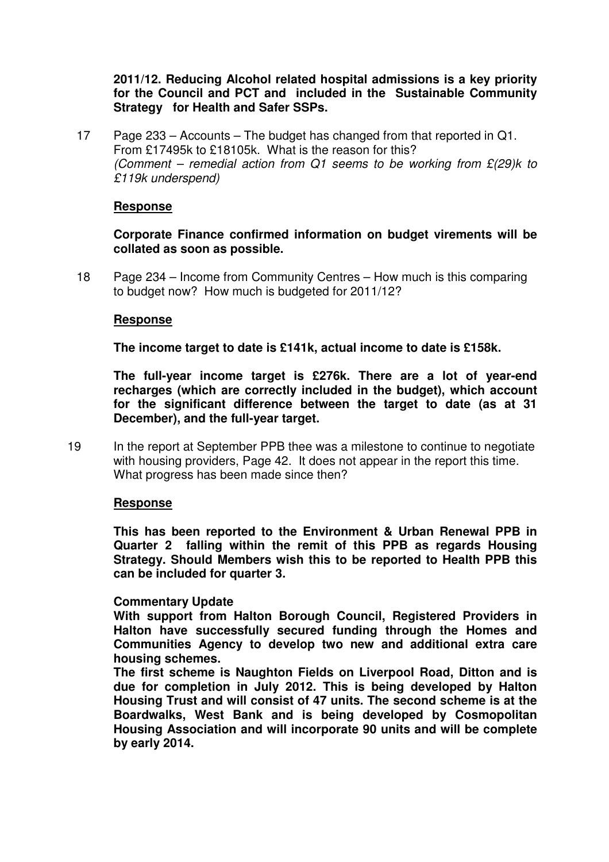**2011/12. Reducing Alcohol related hospital admissions is a key priority for the Council and PCT and included in the Sustainable Community Strategy for Health and Safer SSPs.** 

17 Page 233 – Accounts – The budget has changed from that reported in Q1. From £17495k to £18105k. What is the reason for this? (Comment – remedial action from Q1 seems to be working from  $E(29)$ k to £119k underspend)

# **Response**

**Corporate Finance confirmed information on budget virements will be collated as soon as possible.** 

18 Page 234 – Income from Community Centres – How much is this comparing to budget now? How much is budgeted for 2011/12?

### **Response**

**The income target to date is £141k, actual income to date is £158k.** 

**The full-year income target is £276k. There are a lot of year-end recharges (which are correctly included in the budget), which account for the significant difference between the target to date (as at 31 December), and the full-year target.** 

19 In the report at September PPB thee was a milestone to continue to negotiate with housing providers, Page 42. It does not appear in the report this time. What progress has been made since then?

### **Response**

**This has been reported to the Environment & Urban Renewal PPB in Quarter 2 falling within the remit of this PPB as regards Housing Strategy. Should Members wish this to be reported to Health PPB this can be included for quarter 3.** 

### **Commentary Update**

**With support from Halton Borough Council, Registered Providers in Halton have successfully secured funding through the Homes and Communities Agency to develop two new and additional extra care housing schemes.** 

**The first scheme is Naughton Fields on Liverpool Road, Ditton and is due for completion in July 2012. This is being developed by Halton Housing Trust and will consist of 47 units. The second scheme is at the Boardwalks, West Bank and is being developed by Cosmopolitan Housing Association and will incorporate 90 units and will be complete by early 2014.**